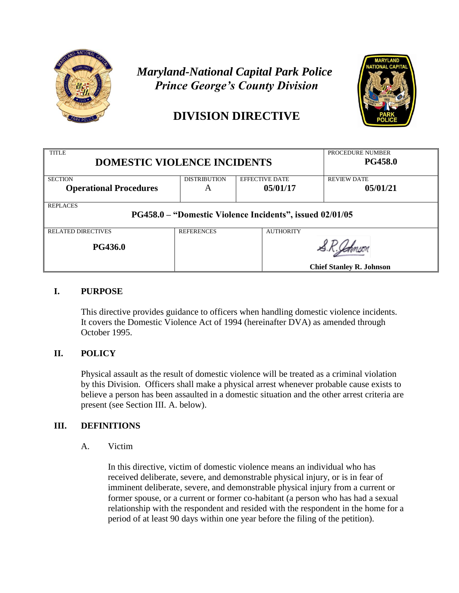

## *Maryland-National Capital Park Police Prince George's County Division*

# **DIVISION DIRECTIVE**



| <b>TITLE</b>                                             |                     |                       | PROCEDURE NUMBER                |  |  |
|----------------------------------------------------------|---------------------|-----------------------|---------------------------------|--|--|
| <b>DOMESTIC VIOLENCE INCIDENTS</b>                       |                     |                       | <b>PG458.0</b>                  |  |  |
|                                                          |                     |                       |                                 |  |  |
| <b>SECTION</b>                                           | <b>DISTRIBUTION</b> | <b>EFFECTIVE DATE</b> | <b>REVIEW DATE</b>              |  |  |
| <b>Operational Procedures</b>                            | A                   | 05/01/17              | 05/01/21                        |  |  |
|                                                          |                     |                       |                                 |  |  |
| <b>REPLACES</b>                                          |                     |                       |                                 |  |  |
| PG458.0 – "Domestic Violence Incidents", issued 02/01/05 |                     |                       |                                 |  |  |
|                                                          |                     |                       |                                 |  |  |
| <b>RELATED DIRECTIVES</b>                                | <b>REFERENCES</b>   | <b>AUTHORITY</b>      |                                 |  |  |
|                                                          |                     |                       |                                 |  |  |
| <b>PG436.0</b>                                           |                     |                       |                                 |  |  |
|                                                          |                     |                       |                                 |  |  |
|                                                          |                     |                       | <b>Chief Stanley R. Johnson</b> |  |  |

## **I. PURPOSE**

This directive provides guidance to officers when handling domestic violence incidents. It covers the Domestic Violence Act of 1994 (hereinafter DVA) as amended through October 1995.

## **II. POLICY**

Physical assault as the result of domestic violence will be treated as a criminal violation by this Division. Officers shall make a physical arrest whenever probable cause exists to believe a person has been assaulted in a domestic situation and the other arrest criteria are present (see Section III. A. below).

## **III. DEFINITIONS**

A. Victim

In this directive, victim of domestic violence means an individual who has received deliberate, severe, and demonstrable physical injury, or is in fear of imminent deliberate, severe, and demonstrable physical injury from a current or former spouse, or a current or former co-habitant (a person who has had a sexual relationship with the respondent and resided with the respondent in the home for a period of at least 90 days within one year before the filing of the petition).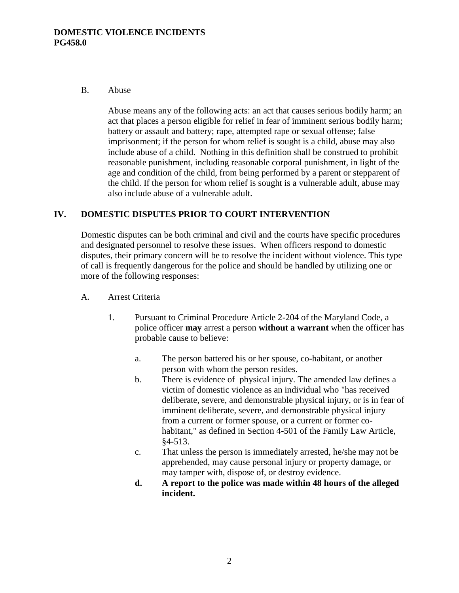#### B. Abuse

Abuse means any of the following acts: an act that causes serious bodily harm; an act that places a person eligible for relief in fear of imminent serious bodily harm; battery or assault and battery; rape, attempted rape or sexual offense; false imprisonment; if the person for whom relief is sought is a child, abuse may also include abuse of a child. Nothing in this definition shall be construed to prohibit reasonable punishment, including reasonable corporal punishment, in light of the age and condition of the child, from being performed by a parent or stepparent of the child. If the person for whom relief is sought is a vulnerable adult, abuse may also include abuse of a vulnerable adult.

### **IV. DOMESTIC DISPUTES PRIOR TO COURT INTERVENTION**

Domestic disputes can be both criminal and civil and the courts have specific procedures and designated personnel to resolve these issues. When officers respond to domestic disputes, their primary concern will be to resolve the incident without violence. This type of call is frequently dangerous for the police and should be handled by utilizing one or more of the following responses:

- A. Arrest Criteria
	- 1. Pursuant to Criminal Procedure Article 2-204 of the Maryland Code, a police officer **may** arrest a person **without a warrant** when the officer has probable cause to believe:
		- a. The person battered his or her spouse, co-habitant, or another person with whom the person resides.
		- b. There is evidence of physical injury. The amended law defines a victim of domestic violence as an individual who "has received deliberate, severe, and demonstrable physical injury, or is in fear of imminent deliberate, severe, and demonstrable physical injury from a current or former spouse, or a current or former cohabitant," as defined in Section 4-501 of the Family Law Article, §4-513.
		- c. That unless the person is immediately arrested, he/she may not be apprehended, may cause personal injury or property damage, or may tamper with, dispose of, or destroy evidence.
		- **d. A report to the police was made within 48 hours of the alleged incident.**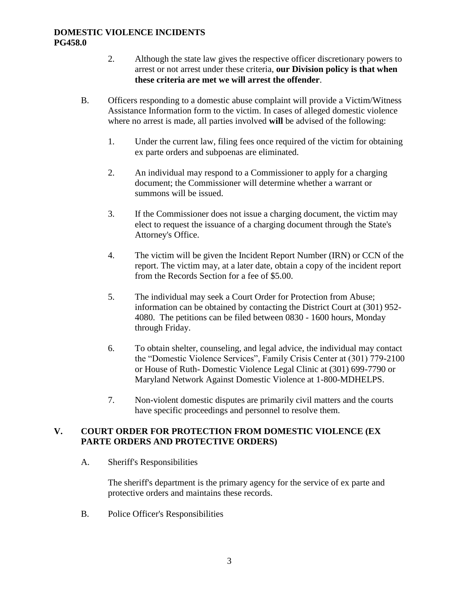- 2. Although the state law gives the respective officer discretionary powers to arrest or not arrest under these criteria, **our Division policy is that when these criteria are met we will arrest the offender**.
- B. Officers responding to a domestic abuse complaint will provide a Victim/Witness Assistance Information form to the victim. In cases of alleged domestic violence where no arrest is made, all parties involved **will** be advised of the following:
	- 1. Under the current law, filing fees once required of the victim for obtaining ex parte orders and subpoenas are eliminated.
	- 2. An individual may respond to a Commissioner to apply for a charging document; the Commissioner will determine whether a warrant or summons will be issued.
	- 3. If the Commissioner does not issue a charging document, the victim may elect to request the issuance of a charging document through the State's Attorney's Office.
	- 4. The victim will be given the Incident Report Number (IRN) or CCN of the report. The victim may, at a later date, obtain a copy of the incident report from the Records Section for a fee of \$5.00.
	- 5. The individual may seek a Court Order for Protection from Abuse; information can be obtained by contacting the District Court at (301) 952- 4080. The petitions can be filed between 0830 - 1600 hours, Monday through Friday.
	- 6. To obtain shelter, counseling, and legal advice, the individual may contact the "Domestic Violence Services", Family Crisis Center at (301) 779-2100 or House of Ruth- Domestic Violence Legal Clinic at (301) 699-7790 or Maryland Network Against Domestic Violence at 1-800-MDHELPS.
	- 7. Non-violent domestic disputes are primarily civil matters and the courts have specific proceedings and personnel to resolve them.

## **V. COURT ORDER FOR PROTECTION FROM DOMESTIC VIOLENCE (EX PARTE ORDERS AND PROTECTIVE ORDERS)**

A. Sheriff's Responsibilities

The sheriff's department is the primary agency for the service of ex parte and protective orders and maintains these records.

B. Police Officer's Responsibilities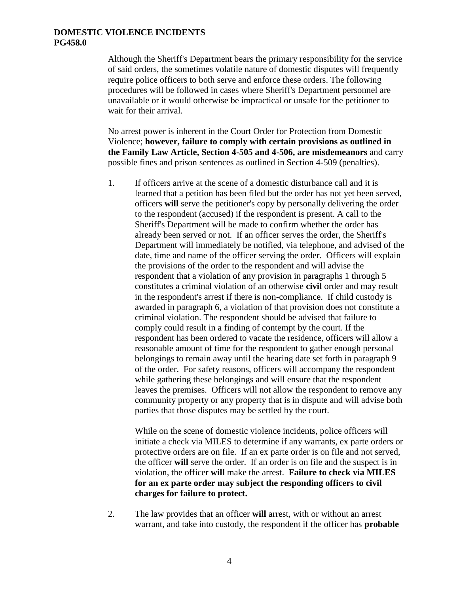Although the Sheriff's Department bears the primary responsibility for the service of said orders, the sometimes volatile nature of domestic disputes will frequently require police officers to both serve and enforce these orders. The following procedures will be followed in cases where Sheriff's Department personnel are unavailable or it would otherwise be impractical or unsafe for the petitioner to wait for their arrival.

No arrest power is inherent in the Court Order for Protection from Domestic Violence; **however, failure to comply with certain provisions as outlined in the Family Law Article, Section 4-505 and 4-506, are misdemeanors** and carry possible fines and prison sentences as outlined in Section 4-509 (penalties).

1. If officers arrive at the scene of a domestic disturbance call and it is learned that a petition has been filed but the order has not yet been served, officers **will** serve the petitioner's copy by personally delivering the order to the respondent (accused) if the respondent is present. A call to the Sheriff's Department will be made to confirm whether the order has already been served or not. If an officer serves the order, the Sheriff's Department will immediately be notified, via telephone, and advised of the date, time and name of the officer serving the order. Officers will explain the provisions of the order to the respondent and will advise the respondent that a violation of any provision in paragraphs 1 through 5 constitutes a criminal violation of an otherwise **civil** order and may result in the respondent's arrest if there is non-compliance. If child custody is awarded in paragraph 6, a violation of that provision does not constitute a criminal violation. The respondent should be advised that failure to comply could result in a finding of contempt by the court. If the respondent has been ordered to vacate the residence, officers will allow a reasonable amount of time for the respondent to gather enough personal belongings to remain away until the hearing date set forth in paragraph 9 of the order. For safety reasons, officers will accompany the respondent while gathering these belongings and will ensure that the respondent leaves the premises. Officers will not allow the respondent to remove any community property or any property that is in dispute and will advise both parties that those disputes may be settled by the court.

While on the scene of domestic violence incidents, police officers will initiate a check via MILES to determine if any warrants, ex parte orders or protective orders are on file. If an ex parte order is on file and not served, the officer **will** serve the order. If an order is on file and the suspect is in violation, the officer **will** make the arrest. **Failure to check via MILES for an ex parte order may subject the responding officers to civil charges for failure to protect.**

2. The law provides that an officer **will** arrest, with or without an arrest warrant, and take into custody, the respondent if the officer has **probable**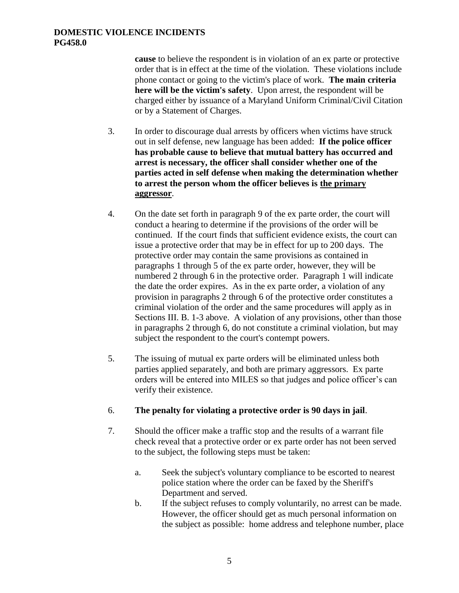**cause** to believe the respondent is in violation of an ex parte or protective order that is in effect at the time of the violation. These violations include phone contact or going to the victim's place of work. **The main criteria here will be the victim's safety**. Upon arrest, the respondent will be charged either by issuance of a Maryland Uniform Criminal/Civil Citation or by a Statement of Charges.

- 3. In order to discourage dual arrests by officers when victims have struck out in self defense, new language has been added: **If the police officer has probable cause to believe that mutual battery has occurred and arrest is necessary, the officer shall consider whether one of the parties acted in self defense when making the determination whether to arrest the person whom the officer believes is the primary aggressor**.
- 4. On the date set forth in paragraph 9 of the ex parte order, the court will conduct a hearing to determine if the provisions of the order will be continued. If the court finds that sufficient evidence exists, the court can issue a protective order that may be in effect for up to 200 days. The protective order may contain the same provisions as contained in paragraphs 1 through 5 of the ex parte order, however, they will be numbered 2 through 6 in the protective order. Paragraph 1 will indicate the date the order expires. As in the ex parte order, a violation of any provision in paragraphs 2 through 6 of the protective order constitutes a criminal violation of the order and the same procedures will apply as in Sections III. B. 1-3 above. A violation of any provisions, other than those in paragraphs 2 through 6, do not constitute a criminal violation, but may subject the respondent to the court's contempt powers.
- 5. The issuing of mutual ex parte orders will be eliminated unless both parties applied separately, and both are primary aggressors. Ex parte orders will be entered into MILES so that judges and police officer's can verify their existence.
- 6. **The penalty for violating a protective order is 90 days in jail**.
- 7. Should the officer make a traffic stop and the results of a warrant file check reveal that a protective order or ex parte order has not been served to the subject, the following steps must be taken:
	- a. Seek the subject's voluntary compliance to be escorted to nearest police station where the order can be faxed by the Sheriff's Department and served.
	- b. If the subject refuses to comply voluntarily, no arrest can be made. However, the officer should get as much personal information on the subject as possible: home address and telephone number, place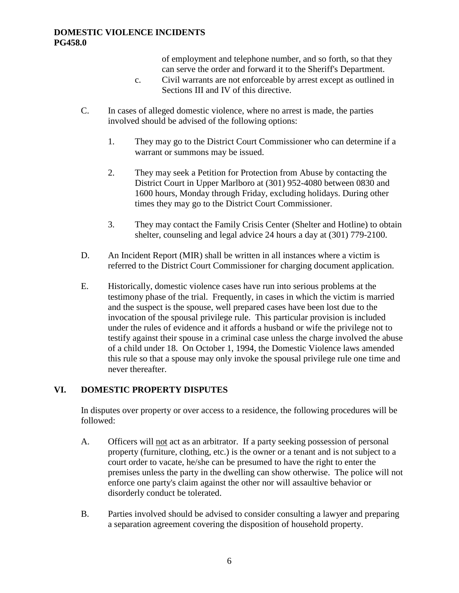of employment and telephone number, and so forth, so that they can serve the order and forward it to the Sheriff's Department.

- c. Civil warrants are not enforceable by arrest except as outlined in Sections III and IV of this directive.
- C. In cases of alleged domestic violence, where no arrest is made, the parties involved should be advised of the following options:
	- 1. They may go to the District Court Commissioner who can determine if a warrant or summons may be issued.
	- 2. They may seek a Petition for Protection from Abuse by contacting the District Court in Upper Marlboro at (301) 952-4080 between 0830 and 1600 hours, Monday through Friday, excluding holidays. During other times they may go to the District Court Commissioner.
	- 3. They may contact the Family Crisis Center (Shelter and Hotline) to obtain shelter, counseling and legal advice 24 hours a day at (301) 779-2100.
- D. An Incident Report (MIR) shall be written in all instances where a victim is referred to the District Court Commissioner for charging document application.
- E. Historically, domestic violence cases have run into serious problems at the testimony phase of the trial. Frequently, in cases in which the victim is married and the suspect is the spouse, well prepared cases have been lost due to the invocation of the spousal privilege rule. This particular provision is included under the rules of evidence and it affords a husband or wife the privilege not to testify against their spouse in a criminal case unless the charge involved the abuse of a child under 18. On October 1, 1994, the Domestic Violence laws amended this rule so that a spouse may only invoke the spousal privilege rule one time and never thereafter.

## **VI. DOMESTIC PROPERTY DISPUTES**

In disputes over property or over access to a residence, the following procedures will be followed:

- A. Officers will not act as an arbitrator. If a party seeking possession of personal property (furniture, clothing, etc.) is the owner or a tenant and is not subject to a court order to vacate, he/she can be presumed to have the right to enter the premises unless the party in the dwelling can show otherwise. The police will not enforce one party's claim against the other nor will assaultive behavior or disorderly conduct be tolerated.
- B. Parties involved should be advised to consider consulting a lawyer and preparing a separation agreement covering the disposition of household property.